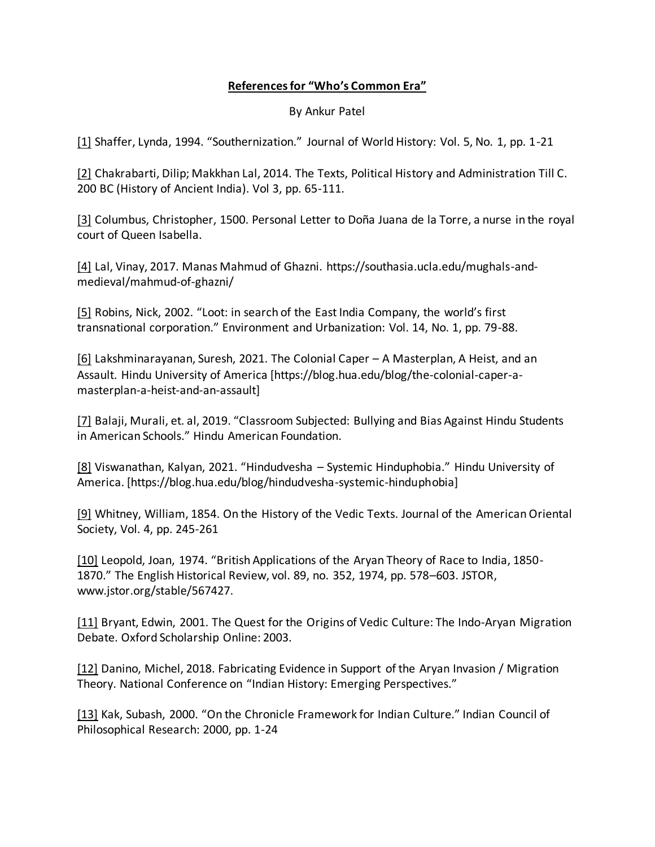## **References for "Who's Common Era"**

## By Ankur Patel

[1] Shaffer, Lynda, 1994. "Southernization." Journal of World History: Vol. 5, No. 1, pp. 1-21

[2] Chakrabarti, Dilip; Makkhan Lal, 2014. The Texts, Political History and Administration Till C. 200 BC (History of Ancient India). Vol 3, pp. 65-111.

[3] Columbus, Christopher, 1500. Personal Letter to Doña Juana de la Torre, a nurse in the royal court of Queen Isabella.

[4] Lal, Vinay, 2017. Manas Mahmud of Ghazni. https://southasia.ucla.edu/mughals-andmedieval/mahmud-of-ghazni/

[5] Robins, Nick, 2002. "Loot: in search of the East India Company, the world's first transnational corporation." Environment and Urbanization: Vol. 14, No. 1, pp. 79-88.

[6] Lakshminarayanan, Suresh, 2021. The Colonial Caper – A Masterplan, A Heist, and an Assault. Hindu University of America [https://blog.hua.edu/blog/the-colonial-caper-amasterplan-a-heist-and-an-assault]

[7] Balaji, Murali, et. al, 2019. "Classroom Subjected: Bullying and Bias Against Hindu Students in American Schools." Hindu American Foundation.

[8] Viswanathan, Kalyan, 2021. "Hindudvesha – Systemic Hinduphobia." Hindu University of America. [https://blog.hua.edu/blog/hindudvesha-systemic-hinduphobia]

[9] Whitney, William, 1854. On the History of the Vedic Texts. Journal of the American Oriental Society, Vol. 4, pp. 245-261

[10] Leopold, Joan, 1974. "British Applications of the Aryan Theory of Race to India, 1850- 1870." The English Historical Review, vol. 89, no. 352, 1974, pp. 578–603. JSTOR, www.jstor.org/stable/567427.

[11] Bryant, Edwin, 2001. The Quest for the Origins of Vedic Culture: The Indo-Aryan Migration Debate. Oxford Scholarship Online: 2003.

[12] Danino, Michel, 2018. Fabricating Evidence in Support of the Aryan Invasion / Migration Theory. National Conference on "Indian History: Emerging Perspectives."

[13] Kak, Subash, 2000. "On the Chronicle Framework for Indian Culture." Indian Council of Philosophical Research: 2000, pp. 1-24